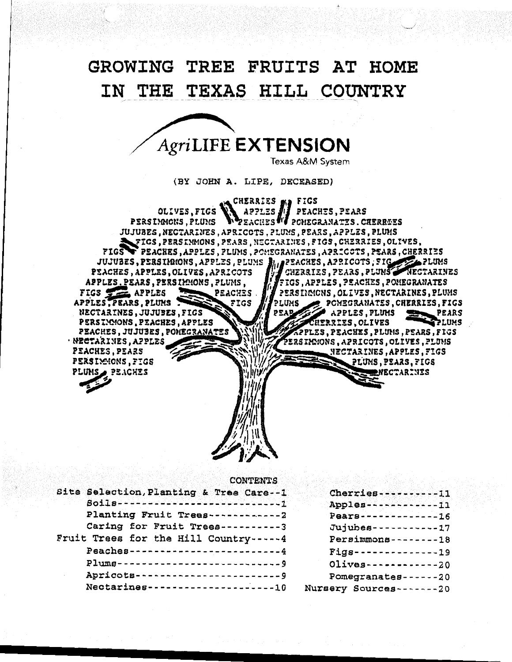# **GROWING TREE FRUITS AT HOME**  IN THE TEXAS HILL COUNTRY

# AgriLIFE **EXTENSION**

Texas A&M System

(BY JOHN A. LIPE, DECEASED)

**G** CHERRIES MA FIGS OLIVES.FIGS APPLES PEACHES, PEARS PERSIMONS, PLUMS POHEGRANATES.CHERREES JUJUBES, NECTARINES, APRICOTS, PLUMS, PEARS, APPLES, PLUMS \_FIGS, PERSIMMONS, PEARS, NECTARINES, FIGS, CHERRIES, OLIVES, FIGS PEACHES, APPLES, PLUMS, POMEGRAMATES, APRICOTS, PEARS, CHERRIES JUJUBES, PERSIMMONS, APPLES, PLUMS FOR PEACHES, APRICOTS, FIG PLUMS CHERRIES, PEARS, PLUMS PEACHES, APPLES, OLIVES, APRICOTS NECTARINES APPLES.PEARS, PERSIMMONS, PLUMS, FIGS, APPLES, PEACHES, POMEGRANATES PEACHES PERSIMMONS, OLIVES, NECTARINES, PLUMS FIGS **The APPLES** APPLES, PEARS, PLUMS FIGS PLUMS POMEGRANATES, CHERRIES, FIGS NECTARINES, JUJUBES, FIGS סג סכ APPLES, PLUMS **PEARS** PERSIMMONS, PEACHES, APPLES IERRIES, OLIVES PEACHES, JUJUSES, POMEGRANATES PPLES, PEACHES, PLUMS, PEARS, FIGS étrsincions , apricots , olives , pluns NECTARINES, APPLES PEACHES, PEARS NECTARINES, APPLES, FIGS PERSIMMONS, FIGS PLUMS, PEARS, FIGS PLUMS PEACHES **NECTARINES** 

#### CONTENTS

| Site Selection, Planting & Tree Care--1           | Cherries----------11           |
|---------------------------------------------------|--------------------------------|
| Soils----------------------------                 | Apples------------11           |
| Planting Fruit Trees------------2                 | Pears-------------16           |
| Caring for Fruit Trees----------3                 | Jujubes - - - - - - - - - - 17 |
| Fruit Trees for the Hill Country-----4            | $Personmons------18$           |
| Peaches--------------------------4                | $Figs----------------19$       |
| Plums---------------------------9                 | $Olives$ ------------20        |
| Apricots------------------------9                 | Pomegranates - - - - - - 20    |
| $Nectarines - - - - - - - - - - - - - - - - - 10$ | Nursery Sources-------20       |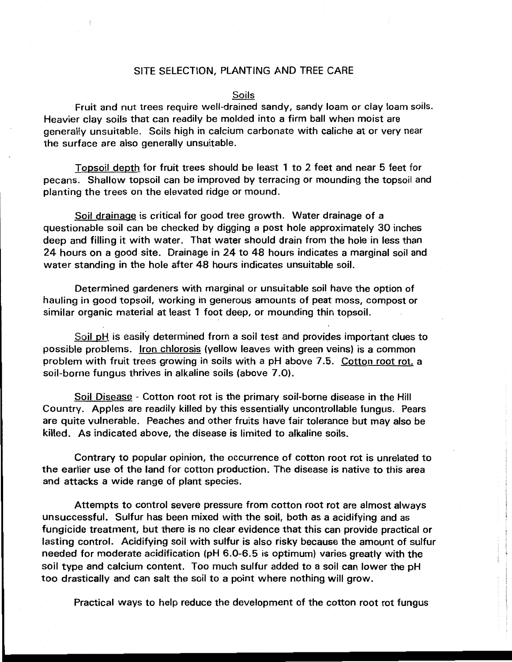# SITE SELECTION, PLANTING AND TREE CARE

#### Soils

Fruit and nut trees require well-drained sandy, sandy loam or clay loam soils. Heavier clay soils that can readily be molded into a firm ball when moist are generally unsuitable. Soils high in calcium carbonate with caliche at or very near the surface are also generally unsuitable.

Topsoil depth for fruit trees should be least 1 to 2 feet and near 5 feet for pecans. Shallow topsoil can be improved by terracing or mounding the topsoil and planting the trees on the elevated ridge or mound.

Soil drainage is critical for good tree growth. Water drainage of a questionable soil can be checked by digging a post hole approximately 30 inches deep and filling it with water. That water should drain from the hole in less than 24 hours on a good site. Drainage in 24 to 48 hours indicates a marginal soil and water standing in the hole after 48 hours indicates unsuitable soil.

Determined gardeners with marginal or unsuitable soil have the option of hauling in good topsoil, working in generous amounts of peat moss, compost or similar organic material at least 1 foot deep, or mounding thin topsoil.

Soil pH is easily determined from a soil test and provides important clues to possible problems. Iron chlorosis (yellow leaves with green veins) is a common problem with fruit trees growing in soils with a pH above 7 .5. Cotton root rot, a soil-borne fungus thrives in alkaline soils (above 7.0).

Soil Disease - Cotton root rot is the primary soil-borne disease in the Hill Country. Apples are readily killed by this essentially uncontrollable fungus. Pears are quite vulnerable. Peaches and other fruits have fair tolerance but may also be killed. As indicated above, the disease is limited to alkaline soils.

Contrary to popular opinion, the occurrence of cotton root rot is unrelated to the earlier use of the land for cotton production. The disease is native to this area and attacks a wide range of plant species.

Attempts to control severe pressure from cotton root rot are almost always unsuccessful. Sulfur has been mixed with the soil, both as a acidifying and as fungicide treatment, but there is no clear evidence that this can provide practical or lasting control. Acidifying soil with sulfur is also risky because the amount of sulfur needed for moderate acidification (pH 6.0-6.5 is optimum) varies greatly with the soil type and calcium content. Too much sulfur added to a soil can lower the pH too drastically and can salt the soil to a point where nothing will grow.

Practical ways to help reduce the development of the cotton root rot fungus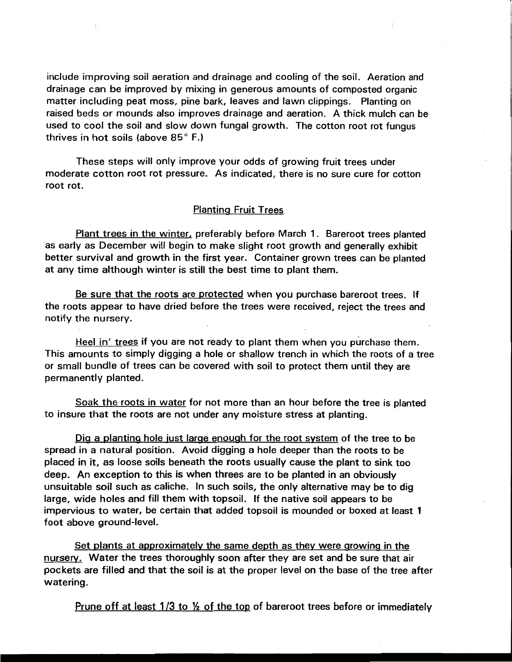include improving soil aeration and drainage and cooling of the soil. Aeration and drainage can be improved by mixing in generous amounts of composted organic matter including peat moss, pine bark, leaves and lawn clippings. Planting on raised beds or mounds also improves drainage and aeration. A thick mulch can be used to cool the soil and slow down fungal growth. The cotton root rot fungus thrives in hot soils (above 85° F.)

These steps will only improve your odds of growing fruit trees under moderate cotton root rot pressure. As indicated, there is no sure cure for cotton root rot.

# Planting Fruit Trees

Plant trees in the winter, preferably before March 1. Bareroot trees planted as early as December will begin to make slight root growth and generally exhibit better survival and growth in the first year. Container grown trees can be planted at any time although winter is still the best time to plant them.

Be sure that the roots are protected when you purchase bareroot trees. If the roots appear to have dried before the trees were received, reject the trees and notify the nursery.

Heel in' trees if you are not ready to plant them when you purchase them. This amounts to simply digging a hole or shallow trench in which the roots of a tree or small bundle of trees can be covered with soil to protect them until they are permanently planted.

Soak the roots in water for not more than an hour before the tree is planted to insure that the roots are not under any moisture stress at planting.

Dig a planting hole just large enough for the root system of the tree to be spread in a natural position. Avoid digging a hole deeper than the roots to be placed in it, as loose soils beneath the roots usually cause the plant to sink too deep. An exception to this is when threes are to be planted in an obviously unsuitable soil such as caliche. In such soils, the only alternative may be to dig large, wide holes and fill them with topsoil. If the native soil appears to be impervious to water, be certain that added topsoil is mounded or boxed at least 1 foot above ground-level.

Set plants at approximately the same depth as they were growing in the nursery. Water the trees thoroughly soon after they are set and be sure that air pockets are filled and that the soil is at the proper level on the base of the tree after watering.

Prune off at least  $1/3$  to  $\frac{1}{2}$  of the top of bareroot trees before or immediately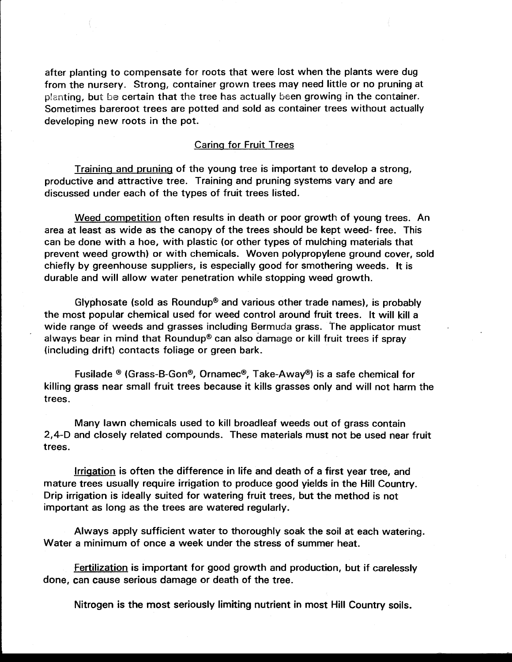after planting to compensate for roots that were lost when the plants were dug from the nursery. Strong, container grown trees may need little or no pruning at planting, but be certain that the tree has actually been growing in the container. Sometimes bareroot trees are potted and sold as container trees without actually developing new roots in the pot.

# Caring for Fruit Trees

Training and pruning of the young tree is important to develop a strong, productive and attractive tree. Training and pruning systems vary and are discussed under each of the types of fruit trees listed.

Weed competition often results in death or poor growth of young trees. An area at least as wide as the canopy of the trees should be kept weed- free. This can be done with a hoe, with plastic (or other types of mulching materials that prevent weed growth) or with chemicals. Woven polypropylene ground cover, sold chiefly by greenhouse suppliers, is especially good for smothering weeds. It is durable and will allow water penetration while stopping weed growth.

Glyphosate (sold as Roundup® and various other trade names), is probably the most popular chemical used for weed control around fruit trees. It will kill a wide range of weeds and grasses including Bermuda grass. The applicator must always bear in mind that Roundup® can also damage or kill fruit trees if spray (including drift) contacts foliage or green bark.

Fusilade ® (Grass-B-Gon®, Ornamec®, Take-Away®) is a safe chemical for killing grass near small fruit trees because it kills grasses only and will not harm the trees.

Many lawn chemicals used to kill broadleaf weeds out of grass contain 2,4-D and closely related compounds. These materials must not be used near fruit trees.

Irrigation is often the difference in life and death of a first year tree, and mature trees usually require irrigation to produce good yields in the Hill Country. Drip irrigation is ideally suited for watering fruit trees, but the method is not important as long as the trees are watered regularly.

Always apply sufficient water to thoroughly soak the soil at each watering. Water a minimum of once a week under the stress of summer heat.

Fertilization is important for good growth and production, but if carelessly done, can cause serious damage or death of the tree.

Nitrogen is the most seriously limiting nutrient in most Hill Country soils.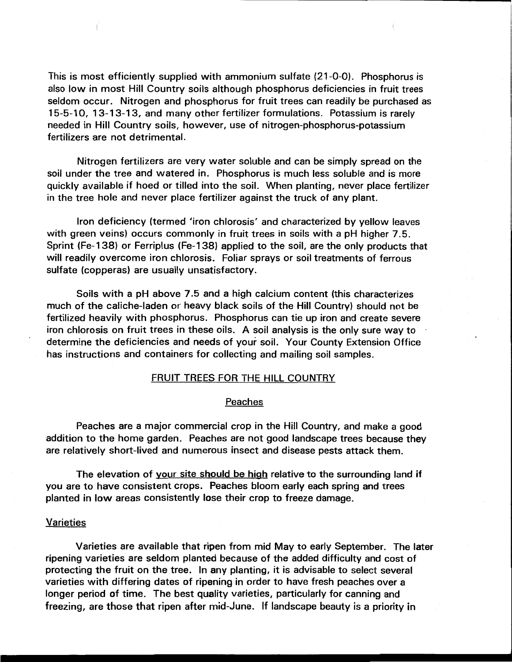This is most efficiently supplied with ammonium sulfate (21-0-0). Phosphorus is also low in most Hill Country soils although phosphorus deficiencies in fruit trees seldom occur. Nitrogen and phosphorus for fruit trees can readily be purchased as 15-5-10, 13-13-1 3, and many other fertilizer formulations. Potassium is rarely needed in Hill Country soils, however, use of nitrogen-phosphorus-potassium fertilizers are not detrimental.

Nitrogen fertilizers are very water soluble and can be simply spread on the soil under the tree and watered in. Phosphorus is much less soluble and is more quickly available if hoed or tilled into the soil. When planting, never place fertilizer in the tree hole and never place fertilizer against the truck of any plant.

Iron deficiency (termed 'iron chlorosis' and characterized by yellow leaves with green veins) occurs commonly in fruit trees in soils with a pH higher 7.5. Sprint (Fe-1 38) or Ferriplus (Fe-1 38) applied to the soil, are the only products that will readily overcome iron chlorosis. Foliar sprays or soil treatments of ferrous sulfate (copperas) are usually unsatisfactory.

Soils with a pH above 7.5 and a high calcium content (this characterizes much of the caliche-laden or heavy black soils of the Hill Country) should not be fertilized heavily with phosphorus. Phosphorus can tie up iron and create severe iron chlorosis on fruit trees in these oils. A soil analysis is the only sure way to · determine the deficiencies and needs of your soil. Your County Extension Office has instructions and containers for collecting and mailing soil samples.

### FRUIT TREES FOR THE HILL COUNTRY

#### Peaches

Peaches are a major commercial crop in the Hill Country, and make a good addition to the home garden. Peaches are not good landscape trees because they are relatively short-lived and numerous insect and disease pests attack them.

The elevation of your site should be high relative to the surrounding land if you are to have consistent crops. Peaches bloom early each spring and trees planted in low areas consistently lose their crop to freeze damage.

#### **Varieties**

Varieties are available that ripen from mid May to early September. The later ripening varieties are seldom planted because of the added difficulty and cost of protecting the fruit on the tree. In any planting, it is advisable to select several varieties with differing dates of ripening in order to have fresh peaches over a longer period of time. The best quality varieties, particularly for canning and freezing, are those that ripen after mid-June. If landscape beauty is a priority in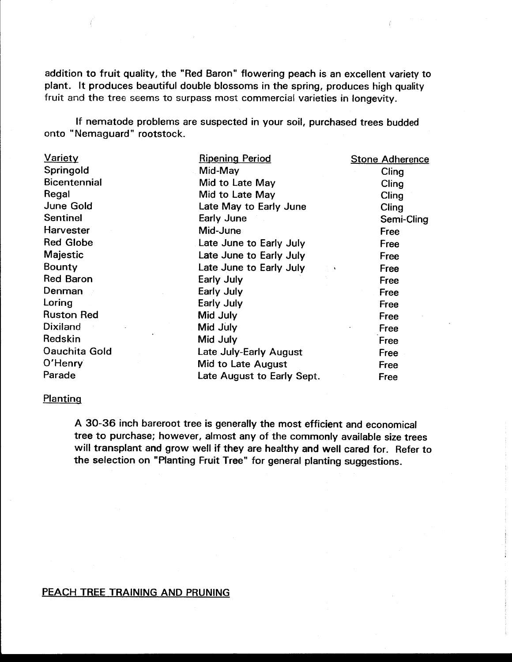addition to fruit quality, the "Red Baron" flowering peach is an excellent variety to plant. It produces beautiful double blossoms in the spring, produces high quality fruit and the tree seems to surpass most commercial varieties in longevity.

If nematode problems are suspected in your soil, purchased trees budded onto "Nemaguard" rootstock.

| <b>Variety</b>       | <b>Ripening Period</b>     | <b>Stone Adherence</b> |
|----------------------|----------------------------|------------------------|
| Springold            | Mid-May                    | Cling                  |
| <b>Bicentennial</b>  | Mid to Late May            | Cling                  |
| Regal                | Mid to Late May            | Cling                  |
| June Gold            | Late May to Early June     | Cling                  |
| <b>Sentinel</b>      | Early June                 | Semi-Cling             |
| Harvester            | Mid-June                   | Free                   |
| <b>Red Globe</b>     | Late June to Early July    | Free                   |
| Majestic             | Late June to Early July    | Free                   |
| Bounty               | Late June to Early July    | Free                   |
| <b>Red Baron</b>     | Early July                 | Free                   |
| Denman               | Early July                 | Free                   |
| Loring               | Early July                 | Free                   |
| <b>Ruston Red</b>    | Mid July                   | Free                   |
| <b>Dixiland</b>      | Mid July                   | Free                   |
| Redskin              | Mid July                   | Free                   |
| <b>Oauchita Gold</b> | Late July-Early August     | Free                   |
| O'Henry              | <b>Mid to Late August</b>  | Free                   |
| Parade               | Late August to Early Sept. | Free                   |

# **Planting**

A 30-36 inch bareroot tree is generally the most efficient and economical tree to purchase; however, almost any of the commonly available size trees will transplant and grow well if they are healthy and well cared for. Refer to the selection on "Planting Fruit Tree" for general planting suggestions.

# PEACH TREE TRAINING AND PRUNING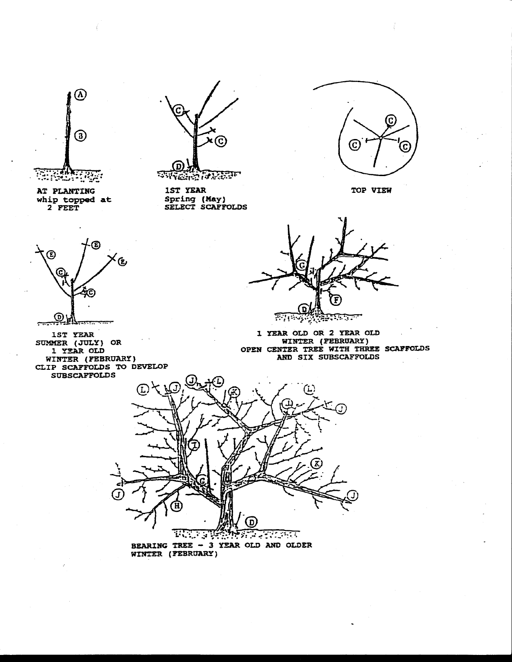

AT PLANTING 1ST YEAR TOP VIEW Al PLANIING<br>whip topped at 2 FEET

Œ

C

℗

1ST YEAR SUMMER (JULY} OR l Y!!AR OLD WINTER (FEBRUARY)



**PARTIES** 

Spring (May} SELECT SCAFFOLDS



<u>कारकारण</u> ਬ੍ਰਿਟਿਸ਼ਨਾ

l YEAR OLD OR 2 YEAR OLD WINTER (FEBRUARY) OPEN CENTER TREE WITH THREE SCAFFOLDS<br>AND SIX SUBSCAFFOLDS



BEARING TREE - 3 YEAR OLD AND OLDER WINTER (FEBRUARY)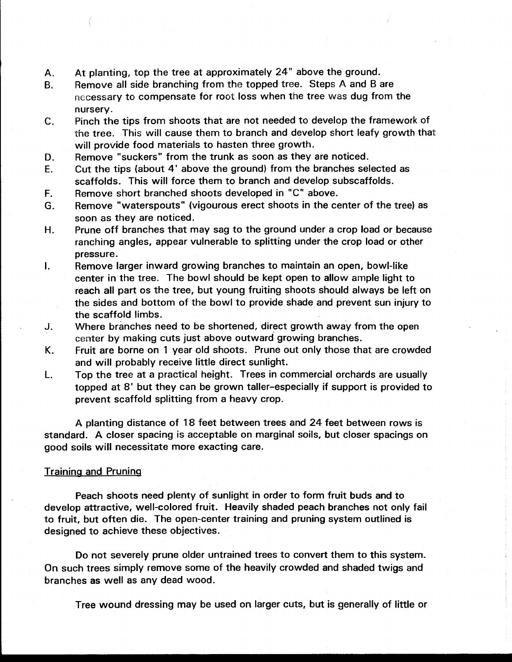- A. At planting, top the tree at approximately 24" above the ground.
- B. Remove all side branching from the topped tree. Steps A and B are necessary to compensate for root loss when the tree was dug from the nursery.
- C. Pinch the tips from shoots that are not needed to develop the framework of the tree. This will cause them to branch and develop short leafy growth that will provide food materials to hasten three growth.
- D. Remove "suckers" from the trunk as soon as they are noticed.
- E. Cut the tips (about 4' above the ground) from the branches selected as scaffolds. This will force them to branch and develop subscaffolds.
- F. Remove short branched shoots developed in "C" above.
- G. Remove "waterspouts" (vigourous erect shoots in the center of the tree) as soon as they are noticed.
- H. Prune off branches that may sag to the ground under a crop load or because ranching angles, appear vulnerable to splitting under the crop load or other pressure.
- I. Remove larger inward growing branches to maintain an open, bowl-like center in the tree. The bowl should be kept open to allow ample light to reach all part os the tree, but young fruiting shoots should always be left on the sides and bottom of the bowl to provide shade and prevent sun injury to the scaffold limbs.
- J. Where branches need to be shortened, direct growth away from the open center by making cuts just above outward growing branches.
- K. Fruit are borne on 1 year old shoots. Prune out only those that are crowded and will probably receive little direct sunlight.
- L. Top the tree at a practical height. Trees in commercial orchards are usually topped at 8' but they can be grown taller-especially if support is provided to prevent scaffold splitting from a heavy crop.

A planting distance of 18 feet between trees and 24 feet between rows is standard. A closer spacing is acceptable on marginal soils, but closer spacings on good soils will necessitate more exacting care.

# Training and Pruning

Peach shoots need plenty of sunlight in order to form fruit buds and to develop attractive, well-colored fruit. Heavily shaded peach branches not only fail to fruit, but often die. The open-center training and pruning system outlined is designed to achieve these objectives.

Do not severely prune older untrained trees to convert them to this system. On such trees simply remove some of the heavily crowded and shaded twigs and branches as well as any dead wood.

Tree wound dressing may be used on larger cuts, but is generally of little or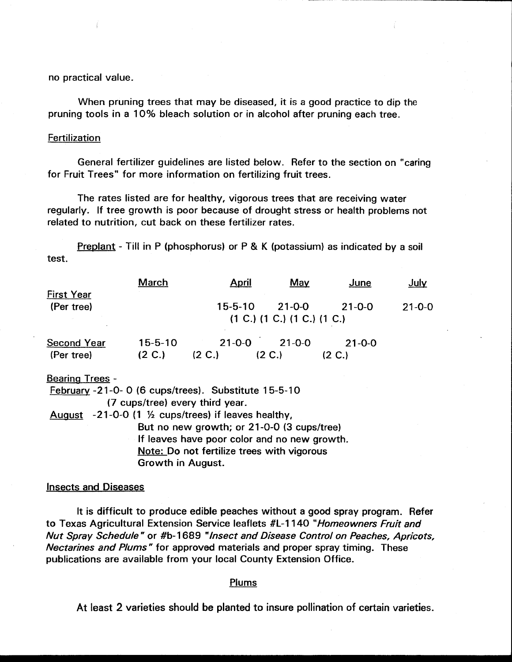no practical value.

When pruning trees that may be diseased, it is a good practice to dip the pruning tools in a 10% bleach solution or in alcohol after pruning each tree.

------------- ------------

# **Fertilization**

General fertilizer guidelines are listed below. Refer to the section on "caring for Fruit Trees" for more information on fertilizing fruit trees.

The rates listed are for healthy, vigorous trees that are receiving water regularly. If tree growth is poor because of drought stress or health problems not related to nutrition, cut back on these fertilizer rates.

Preplant - Till in P (phosphorus) or P & K (potassium) as indicated by a soil test.

|                                                     | <b>March</b>                | <b>April</b>                    | <b>May</b>   | <u>June</u>  | July         |  |
|-----------------------------------------------------|-----------------------------|---------------------------------|--------------|--------------|--------------|--|
| <b>First Year</b><br>(Per tree)                     |                             | $15 - 5 - 10$                   | $21 - 0 - 0$ | $21 - 0 - 0$ | $21 - 0 - 0$ |  |
|                                                     | (1 C.) (1 C.) (1 C.) (1 C.) |                                 |              |              |              |  |
| <b>Second Year</b>                                  | $15 - 5 - 10$               | $21 - 0 - 0$                    | $21 - 0 - 0$ | $21 - 0 - 0$ |              |  |
| (Per tree)                                          | (2 C.)                      | (2 C.)                          | (2 C.)       | (2 C.)       |              |  |
| <b>Bearing Trees -</b>                              |                             |                                 |              |              |              |  |
| February -21-0-0 (6 cups/trees). Substitute 15-5-10 |                             |                                 |              |              |              |  |
|                                                     |                             | (7 cups/tree) every third year. |              |              |              |  |

August  $-21-0-0$  (1  $\frac{1}{2}$  cups/trees) if leaves healthy, But no new growth; or 21-0-0 (3 cups/tree) If leaves have poor color and no new growth. Note: Do not fertilize trees with vigorous Growth in August.

#### Insects and Diseases

It is difficult to produce edible peaches without a good spray program. Refer to Texas Agricultural Extension Service leaflets #L-1140 "Homeowners Fruit and Nut Spray Schedule" or #b-1 689 "Insect and Disease Control on Peaches, Apricots, Nectarines and Plums" for approved materials and proper spray timing. These publications are available from your local County Extension Office.

#### Plums

At least 2 varieties should be planted to insure pollination of certain varieties.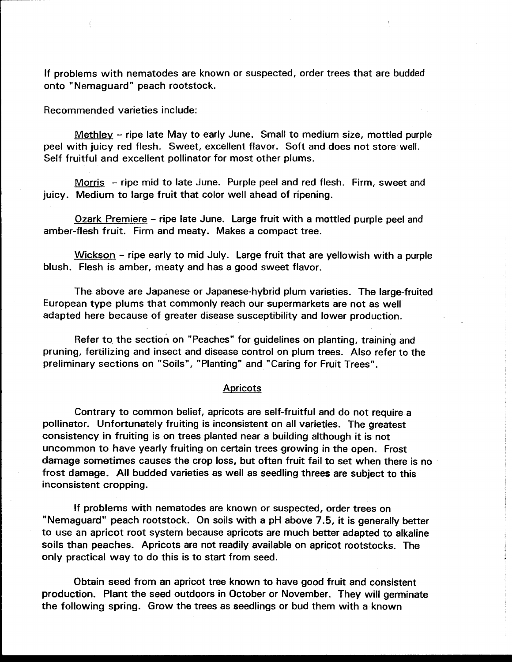If problems with nematodes are known or suspected, order trees that are budded onto "Nemaguard" peach rootstock.

Recommended varieties include:

Methley - ripe late May to early June. Small to medium size, mottled purple peel with juicy red flesh. Sweet, excellent flavor. Soft and does not store well. Self fruitful and excellent pollinator for most other plums.

Morris - ripe mid to late June. Purple peel and red flesh. Firm, sweet and juicy. Medium to large fruit that color well ahead of ripening.

Ozark Premiere - ripe late June. Large fruit with a mottled purple peel and amber-flesh fruit. Firm and meaty. Makes a compact tree.

Wickson - ripe early to mid July. Large fruit that are yellowish with a purple blush. Flesh is amber, meaty and has a good sweet flavor.

The above are Japanese or Japanese-hybrid plum varieties. The large-fruited European type plums that commonly reach our supermarkets are not as well adapted here because of greater disease susceptibility and lower production.

Refer to the section on "Peaches" for guidelines on planting, training and pruning, fertilizing and insect and disease control on plum trees. Also refer to the preliminary sections on "Soils", "Planting" and "Caring for Fruit Trees".

#### Apricots

Contrary to common belief, apricots are self-fruitful and do not require a pollinator. Unfortunately fruiting is inconsistent on all varieties. The greatest consistency in fruiting is on trees planted near a building although it is not uncommon to have yearly fruiting on certain trees growing in the open. Frost damage sometimes causes the crop loss, but often fruit fail to set when there is no frost damage. All budded varieties as well as seedling threes are subject to this inconsistent cropping.

If problems with nematodes are known or suspected, order trees on "Nemaguard" peach rootstock. On soils with a pH above 7 .5, it is generally better to use an apricot root system because apricots are much better adapted to alkaline soils than peaches. Apricots are not readily available on apricot rootstocks. The only practical way to do this is to start from seed.

Obtain seed from an apricot tree known to have good fruit and consistent production. Plant the seed outdoors in October or November. They will germinate the following spring. Grow the trees as seedlings or bud them with a known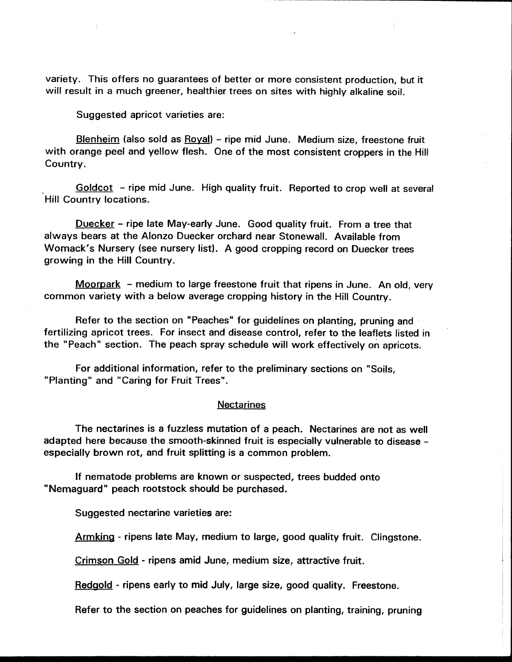variety. This offers no guarantees of better or more consistent production, but it will result in a much greener, healthier trees on sites with highly alkaline soil.

Suggested apricot varieties are:

Blenheim (also sold as Royal) - ripe mid June. Medium size, freestone fruit with orange peel and yellow flesh. One of the most consistent croppers in the Hill Country.

Goldcot - ripe mid June. High quality fruit. Reported to crop well at several Hill Country locations.

Duecker - ripe late May-early June. Good quality fruit. From a tree that always bears at the Alonzo Duecker orchard near Stonewall. Available from Womack's Nursery (see nursery list). A good cropping record on Duecker trees growing in the Hill Country.

Moorpark  $-$  medium to large freestone fruit that ripens in June. An old, very common variety with a below average cropping history in the Hill Country.

Refer to the section on "Peaches" for guidelines on planting, pruning and fertilizing apricot trees. For insect and disease control, refer to the leaflets listed in the "Peach" section. The peach spray schedule will work effectively on apricots.

For additional information, refer to the preliminary sections on "Soils, "Planting" and "Caring for Fruit Trees".

# **Nectarines**

The nectarines is a fuzzless mutation of a peach. Nectarines are not as well adapted here because the smooth-skinned fruit is especially vulnerable to disease especially brown rot, and fruit splitting is a common problem.

If nematode problems are known or suspected, trees budded onto "Nemaguard" peach rootstock should be purchased.

Suggested nectarine varieties are:

Armking - ripens late May, medium to large, good quality fruit. Clingstone.

Crimson Gold - ripens amid June, medium size, attractive fruit.

Redgold - ripens early to mid July, large size, good quality. Freestone.

Refer to the section on peaches for guidelines on planting, training, pruning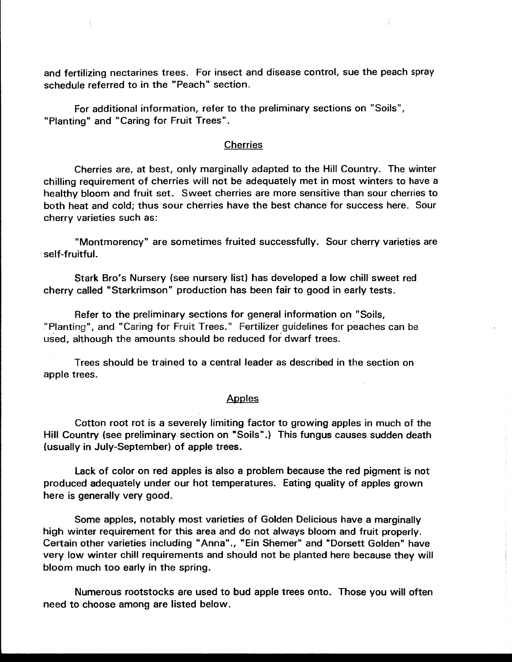and fertilizing nectarines trees. For insect and disease control, sue the peach spray schedule referred to in the "Peach" section.

For additional information, refer to the preliminary sections on "Soils", "Planting" and "Caring for Fruit Trees".

# Cherries

Cherries are, at best, only marginally adapted to the Hill Country. The winter chilling requirement of cherries will not be adequately met in most winters to have a healthy bloom and fruit set. Sweet cherries are more sensitive than sour cherries to both heat and cold; thus sour cherries have the best chance for success here. Sour cherry varieties such as:

"Montmorency" are sometimes fruited successfully. Sour cherry varieties are self-fruitful.

Stark Bro's Nursery (see nursery list) has developed a low chill sweet red cherry called "Starkrimson" production has been fair to good in early tests.

Refer to the preliminary sections for general information on "Soils, -"Planting", and "Caring for Fruit Trees." Fertilizer guidelines for peaches can be used, although the amounts should be reduced for dwarf trees.

Trees should be trained to a central leader as described in the section on apple trees.

### Apples

Cotton root rot is a severely limiting factor to growing apples in much of the Hill Country (see preliminary section on "Soils".) This fungus causes sudden death (usually in July-September) of apple trees.

Lack of color on red apples is also a problem because the red pigment is not produced adequately under our hot temperatures. Eating quality of apples grown here is generally very good.

Some apples, notably most varieties of Golden Delicious have a marginally high winter requirement for this area and do not always bloom and fruit properly. Certain other varieties including "Anna"., "Ein Shemer" and "Dorsett Golden" have very low winter chill requirements and should not be planted here because they will bloom much too early in the spring.

Numerous rootstocks are used to bud apple trees onto. Those you will often need to choose among are listed below.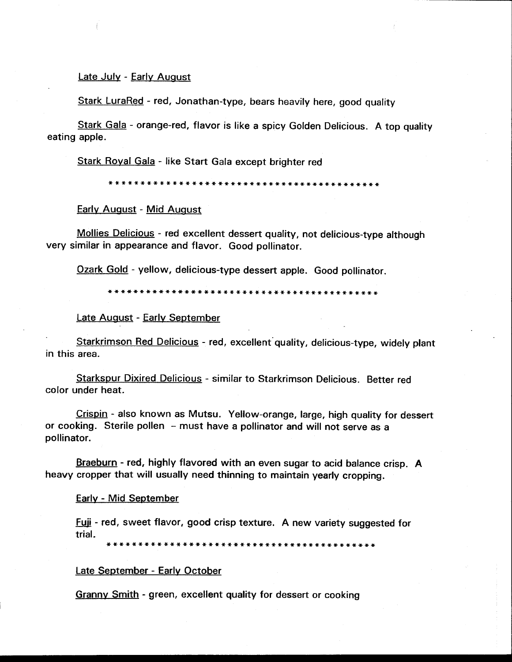#### Late July - Early August

Stark LuraRed - red, Jonathan-type, bears heavily here, good quality

Stark Gala - orange-red, flavor is like a spicy Golden Delicious. A top quality eating apple.

Stark Royal Gala - like Start Gala except brighter red

\*\*\*\*\*\*\*\*\*\*\*\*\*\*\*\*\*\*\*\*\*\*\*\*\*\*\*\*\*\*\*\*\*\*\*\*\*\*\*\*\*\*\*

Early August - Mid August

Mollies Delicious - red excellent dessert quality, not delicious-type although very similar in appearance and flavor. Good pollinator.

Ozark Gold - yellow, delicious-type dessert apple. Good pollinator.

\*\*\*\*\*\*\*\*\*\*\*\*\*\*\*\*\*\*\*\*\*\*\*\*\*\*\*\*\*\*\*\*\*\*\*\*\*\*\*\*\*\*\*

Late August - Early September

Starkrimson Red Delicious - red, excellent quality, delicious-type, widely plant in this area.

Starkspur Dixired Delicious - similar to Starkrimson Delicious. Better red color under heat.

Crispin - also known as Mutsu. Yellow-orange, large, high quality for dessert or cooking. Sterile pollen - must have a pollinator and will not serve as a pollinator.

Braeburn - red, highly flavored with an even sugar to acid balance crisp. A heavy cropper that will usually need thinning to maintain yearly cropping.

#### Early - Mid September

Fuji - red, sweet flavor, good crisp texture. A new variety suggested for trial.

\*\*\*\*\*\*\*\*\*\*\*\*\*\*\*\*\*\*\*\*\*\*\*\*\*\*\*\*\*\*\*\*\*\*\*\*\*\*\*\*\*\*\*

# Late September - Early October

Granny Smith - green, excellent quality for dessert or cooking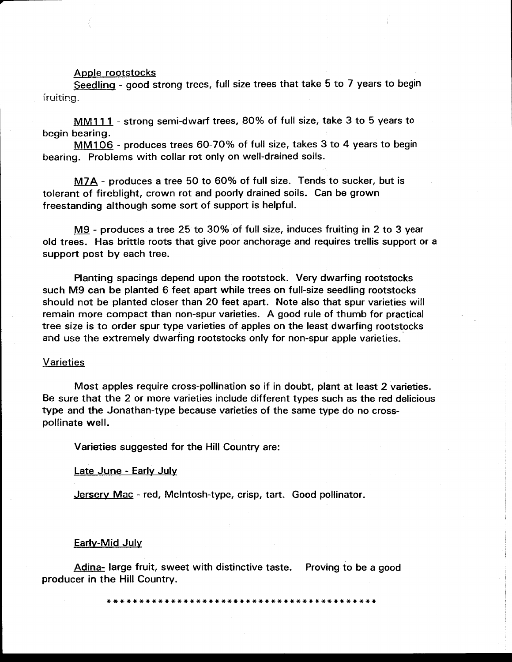#### Apple rootstocks

Seedling - good strong trees, full size trees that take 5 to 7 years to begin fruiting.

MM111 - strong semi-dwarf trees, 80% of full size, take 3 to 5 years to begin bearing.

MM106 - produces trees 60-70% of full size, takes 3 to 4 years to begin bearing. Problems with collar rot only on well-drained soils.

M7A - produces a tree 50 to 60% of full size. Tends to sucker, but is tolerant of fireblight, crown rot and poorly drained soils. Can be grown freestanding although some sort of support is helpful.

M9 - produces a tree 25 to 30% of full size, induces fruiting in 2 to 3 year old trees. Has brittle roots that give poor anchorage and requires trellis support or a support post by each tree.

Planting spacings depend upon the rootstock. Very dwarfing rootstocks such M9 can be planted 6 feet apart while trees on full-size seedling rootstocks should not be planted closer than 20 feet apart. Note also that spur varieties will remain more compact than non-spur varieties. A good rule of thumb for practical tree size is to order spur type varieties of apples on the least dwarfing rootstocks and use the extremely dwarfing rootstocks only for non-spur apple varieties.

#### **Varieties**

Most apples require cross-pollination so if in doubt, plant at least 2 varieties. Be sure that the 2 or more varieties include different types such as the red delicious type and the Jonathan-type because varieties of the same type do no crosspollinate well.

Varieties suggested for the Hill Country are:

#### Late June - Early July

Jersery Mac - red, McIntosh-type, crisp, tart. Good pollinator.

#### Early-Mid July

Adina- large fruit, sweet with distinctive taste. Proving to be a good producer in the Hill Country.

\*\*\*\*\*\*\*\*\*\*\*\*\*\*\*\*\*\*\*\*\*\*\*\*\*\*\*\*\*\*\*\*\*\*\*\*\*\*\*\*\*\*\*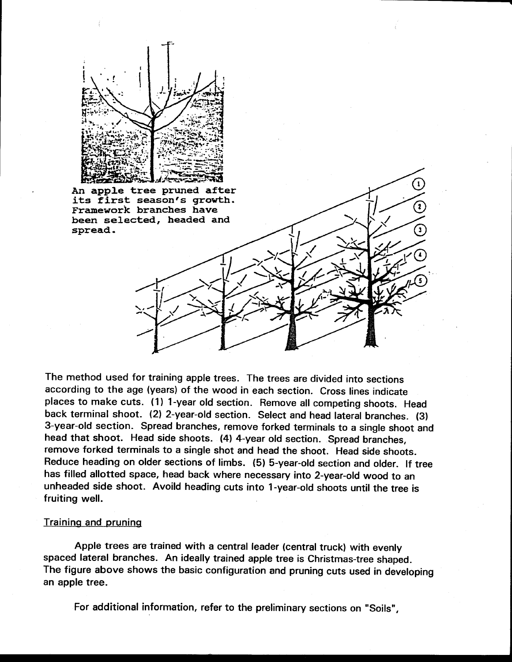

An app1e tree pruned after its first season's growth. Framework branches have been selected, headed and spread.

The method used for training apple trees. The trees are divided into sections according to the age (years) of the wood in each section. Cross lines indicate places to make cuts. ( 1) 1-year old section. Remove all competing shoots. Head back terminal shoot. (2) 2-year-old section. Select and head lateral branches. (3) 3-year-old section. Spread branches, remove forked terminals to a single shoot and head that shoot. Head side shoots. (4) 4-year old section. Spread branches, remove forked terminals to a single shot and head the shoot. Head side shoots. Reduce heading on older sections of limbs. (5) 5-year-old section and older. If tree has filled allotted space, head back where necessary into 2-year-old wood to an unheaded side shoot. Avoild heading cuts into 1-year-old shoots until the tree is fruiting well.

# Training and pruning

Apple trees are trained with a central leader (central truck) with evenly spaced lateral branches. An ideally trained apple tree is Christmas-tree shaped. The figure above shows the basic configuration and pruning cuts used in developing an apple tree.

For additional information, refer to the preliminary sections on "Soils",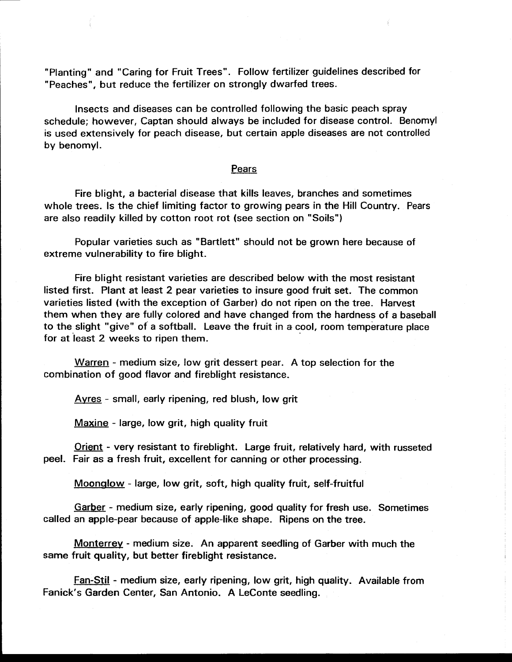"Planting" and "Caring for Fruit Trees". Follow fertilizer guidelines described for "Peaches", but reduce the fertilizer on strongly dwarfed trees.

Insects and diseases can be controlled following the basic peach spray schedule; however, Captan should always be included for disease control. Benomyl is used extensively for peach disease, but certain apple diseases are not controlled by benomyl.

# Pears

Fire blight, a bacterial disease that kills leaves, branches and sometimes whole trees. Is the chief limiting factor to growing pears in the Hill Country. Pears are also readily killed by cotton root rot (see section on "Soils")

Popular varieties such as "Bartlett" should not be grown here because of extreme vulnerability to fire blight.

Fire blight resistant varieties are described below with the most resistant listed first. Plant at least 2 pear varieties to insure good fruit set. The common varieties listed (with the exception of Garber) do not ripen on the tree. Harvest them when they are fully colored and have changed from the hardness of a baseball to the slight "give" of a softball. Leave the fruit in a cool, room temperature place for at least 2 weeks to ripen them.

Warren - medium size, low grit dessert pear. A top selection for the combination of good flavor and fireblight resistance.

Ayres - small, early ripening, red blush, low grit

Maxine - large, low grit, high quality fruit

Orient - very resistant to fireblight. Large fruit, relatively hard, with russeted peel. Fair as a fresh fruit, excellent for canning or other processing.

Moonglow - large, low grit, soft, high quality fruit, self-fruitful

Garber - medium size, early ripening, good quality for fresh use. Sometimes called an apple-pear because of apple-like shape. Ripens on the tree.

Monterrey - medium size. An apparent seedling of Garber with much the same fruit quality, but better fireblight resistance.

Fan-Stil - medium size, early ripening, low grit, high quality. Available from Fanick's Garden Center, San Antonio. A Leconte seedling.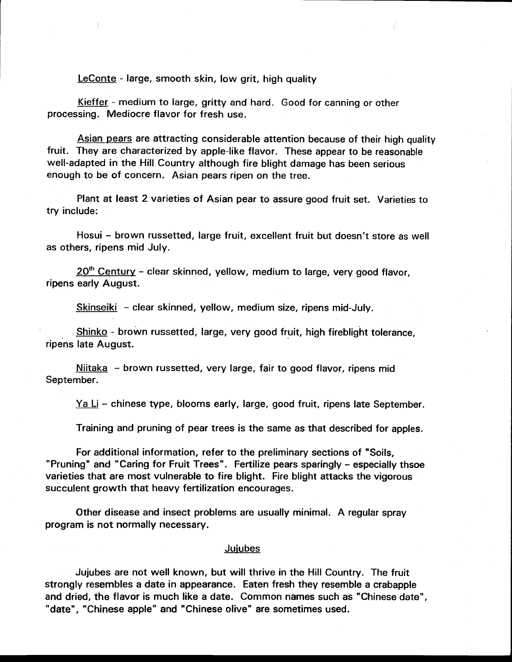Leconte - large, smooth skin, low grit, high quality

Kieffer - medium to large, gritty and hard. Good for canning or other processing. Mediocre flavor for fresh use.

Asian pears are attracting considerable attention because of their high quality fruit. They are characterized by apple-like flavor. These appear to be reasonable well-adapted in the Hill Country although fire blight damage has been serious enough to be of concern. Asian pears ripen on the tree.

Plant at least 2 varieties of Asian pear to assure good fruit set. Varieties to try include:

Hosui - brown russetted, large fruit, excellent fruit but doesn't store as well as others, ripens mid July.

 $20<sup>th</sup>$  Century - clear skinned, yellow, medium to large, very good flavor, ripens early August.

Skinseiki - clear skinned, yellow, medium size, ripens mid-July.

Shinko - brown russetted, large, very good fruit, high fireblight tolerance, ripens late August.

Niitaka - brown russetted, very large, fair to good flavor, ripens mid September.

Ya Li - chinese type, blooms early, large, good fruit, ripens late September.

Training and pruning of pear trees is the same as that described for apples.

For additional information, refer to the preliminary sections of "Soils, "Pruning" and "Caring for Fruit Trees". Fertilize pears sparingly - especially thsoe varieties that are most vulnerable to fire blight. Fire blight attacks the vigorous succulent growth that heavy fertilization encourages.

Other disease and insect problems are usually minimal. A regular spray program is not normally necessary.

# Jujubes

Jujubes are not well known, but will thrive in the Hill Country. The fruit strongly resembles a date in appearance. Eaten fresh they resemble a crabapple and dried, the flavor is much like a date. Common names such as "Chinese date", "date", "Chinese apple" and "Chinese olive" are sometimes used.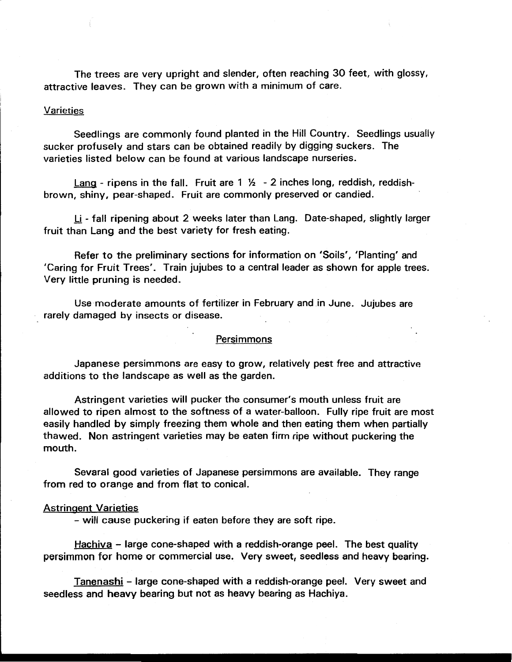The trees are very upright and slender, often reaching 30 feet, with glossy, attractive leaves. They can be grown with a minimum of care.

# **Varieties**

Seedlings are commonly found planted in the Hill Country. Seedlings usually sucker profusely and stars can be obtained readily by digging suckers. The varieties listed below can be found at various landscape nurseries.

Lang - ripens in the fall. Fruit are  $1 \frac{1}{2}$  - 2 inches long, reddish, reddishbrown, shiny, pear-shaped. Fruit are commonly preserved or candied.

Li - fall ripening about 2 weeks later than Lang. Date-shaped, slightly larger fruit than Lang and the best variety for fresh eating.

Refer to the preliminary sections for information on 'Soils', 'Planting' and 'Caring for Fruit Trees'. Train jujubes to a central leader as shown for apple trees. Very little pruning is needed.

Use moderate amounts of fertilizer in February and .in June. Jujubes are rarely damaged by insects or disease.

# **Persimmons**

Japanese persimmons are easy to grow, relatively pest free and attractive additions to the landscape as well as the garden.

Astringent varieties will pucker the consumer's mouth unless fruit are allowed to ripen almost to the softness of a water-balloon. Fully ripe fruit are most easily handled by simply freezing them whole and then eating them when partially thawed. Non astringent varieties may be eaten firm ripe without puckering the mouth.

Sevaral good varieties of Japanese persimmons are available. They range from red to orange and from flat to conical.

#### Astringent Varieties

- will cause puckering if eaten before they are soft ripe.

Hachiva - large cone-shaped with a reddish-orange peel. The best quality persimmon for home or commercial use. Very sweet, seedless and heavy bearing.

Tanenashi - large cone-shaped with a reddish-orange peel. Very sweet and seedless and heavy bearing but not as heavy bearing as Hachiya.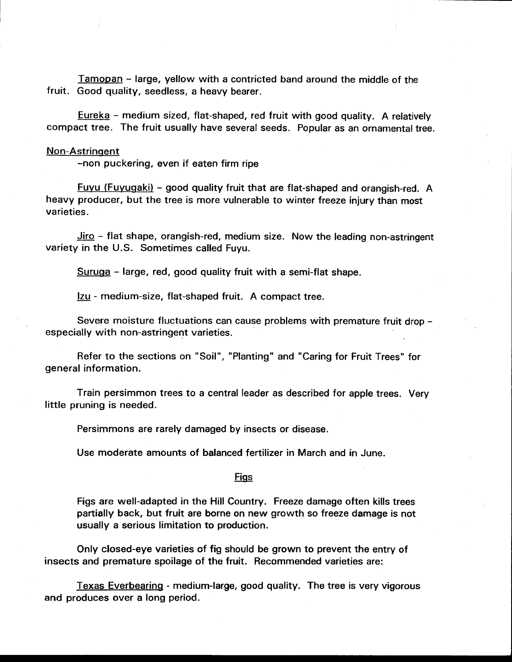Tamopan - large, yellow with a contricted band around the middle of the fruit. Good quality, seedless, a heavy bearer.

Eureka - medium sized, flat-shaped, red fruit with good quality. A relatively compact tree. The fruit usually have several seeds. Popular as an ornamental tree.

## Non-Astringent

-non puckering, even if eaten firm ripe

<u>Fuyu (Fuyugaki)</u> – good quality fruit that are flat-shaped and orangish-red. A heavy producer, but the tree is more vulnerable to winter freeze injury than most varieties.

Jiro - flat shape, orangish-red, medium size. Now the leading non-astringent variety in the U.S. Sometimes called Fuyu.

Suruga - large, red, good quality fruit with a semi-flat shape.

lzu - medium-size, flat-shaped fruit. A compact tree.

Severe moisture fluctuations can cause problems with premature fruit drop especially with non-astringent varieties.

Refer to the sections on "Soil", "Planting" and "Caring for Fruit Trees" for general information.

Train persimmon trees to a central leader as described for apple trees. Very little pruning is needed.

Persimmons are rarely damaged by insects or disease.

Use moderate amounts of balanced fertilizer in March and in June.

#### <u>Figs</u>

Figs are well-adapted in the Hill Country. Freeze damage often kills trees partially back, but fruit are borne on new growth so freeze damage is not usually a serious limitation to production.

Only closed-eye varieties of fig should be grown to prevent the entry of insects and premature spoilage of the fruit. Recommended varieties are:

Texas Everbearing - medium-large, good quality. The tree is very vigorous and produces over a long period.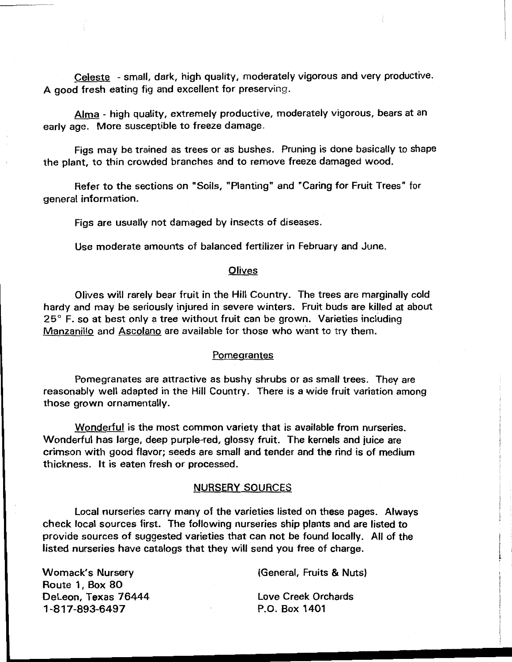Celeste - small, dark, high quality, moderately vigorous and very productive. A good fresh eating fig and excellent for preserving.

Alma - high quality, extremely productive, moderately vigorous, bears at an early age. More susceptible to freeze damage.

Figs may be trained as trees or as bushes. Pruning is done basically to shape the plant, to thin crowded branches and to remove freeze damaged wood.

Refer to the sections on "Soils, "Planting" and "Caring for Fruit Trees" for general information.

Figs are usually not damaged by insects of diseases.

Use moderate amounts of balanced fertilizer in February and June.

# **Olives**

Olives will rarely bear fruit in the Hill Country. The trees are marginally cold hardy and may be seriously injured in severe winters. Fruit buds are killed at about 25° F. so at best only a tree without fruit can be grown. Varieties including Manzanillo and Ascolano are available for those who want to try them.

#### **Pomegrantes**

Pomegranates are attractive as bushy shrubs or as small trees. They are reasonably well adapted in the Hill Country. There is a wide fruit variation among those grown ornamentally.

Wonderful is the most common variety that is available from nurseries. Wonderful has large, deep purple-red, glossy fruit. The kernels and juice are crimson with good flavor; seeds are small and tender and the rind is of medium thickness. It is eaten fresh or processed.

# NURSERY SOURCES

Local nurseries carry many of the varieties listed on these pages. Always check local sources first. The following nurseries ship plants and are listed to provide sources of suggested varieties that can not be found locally. All of the listed nurseries have catalogs that they will send you free of charge.

> (General, Fruits & Nuts) Love Creek Orchards P.O. Box 1401

Womack's Nursery Route 1, Box 80 Deleon, Texas 76444 1-817-893-6497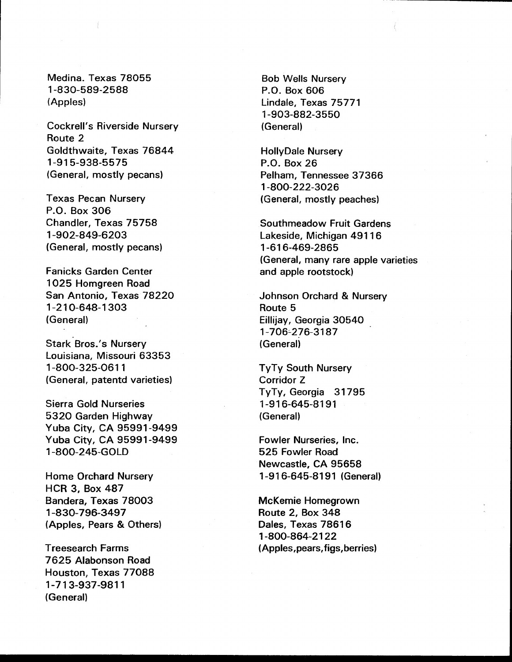Medina. Texas 78055 1-830-589-2588 (Apples)

Cockrell's Riverside Nursery Route 2 Goldthwaite, Texas 76844 1-915-938-5575 (General, mostly pecans)

Texas Pecan Nursery P.O. Box 306 Chandler, Texas 75758 1-902-849-6203 (General, mostly pecans)

Fanicks Garden Center 1025 Homgreen Road San Antonio, Texas 78220 1-210-648-1303 (General)

Stark Bros.'s Nursery Louisiana, Missouri 63353 1-800-325-0611 (General, patentd varieties)

Sierra Gold Nurseries 5320 Garden Highway Yuba City, CA 95991-9499 Yuba City, CA 95991-9499 1-800-245-GOLD

Home Orchard Nursery HCR 3, Box 487 Bandera, Texas 78003 1-830-796-3497 (Apples, Pears & Others)

Treesearch Farms 7625 Alabonson Road Houston, Texas 77088 1-713-937-9811 (General)

Bob Wells Nursery P.O. Box 606 Lindale, Texas 75771 1-903-882-3550 (General)

HollyDale Nursery P.O. Box 26 Pelham, Tennessee 37366 1-800-222-3026 (General, mostly peaches)

Southmeadow Fruit Gardens Lakeside, Michigan 49116 1-616-469-2865 (General, many rare apple varieties and apple rootstock)

Johnson Orchard & Nursery Route 5 Eillijay, Georgia 30540 1-706'-276-3187 (General)

TyTy South Nursery Corridor Z TyTy, Georgia 31795 1-916-645-8191 (General)

Fowler Nurseries, Inc. 525 Fowler Road Newcastle, CA 95658 1 -91 6-645-81 91 (General)

McKemie Homegrown Route 2, Box 348 Dales, Texas 78616 1-800-864-2122 (Apples,pears, figs,berries)